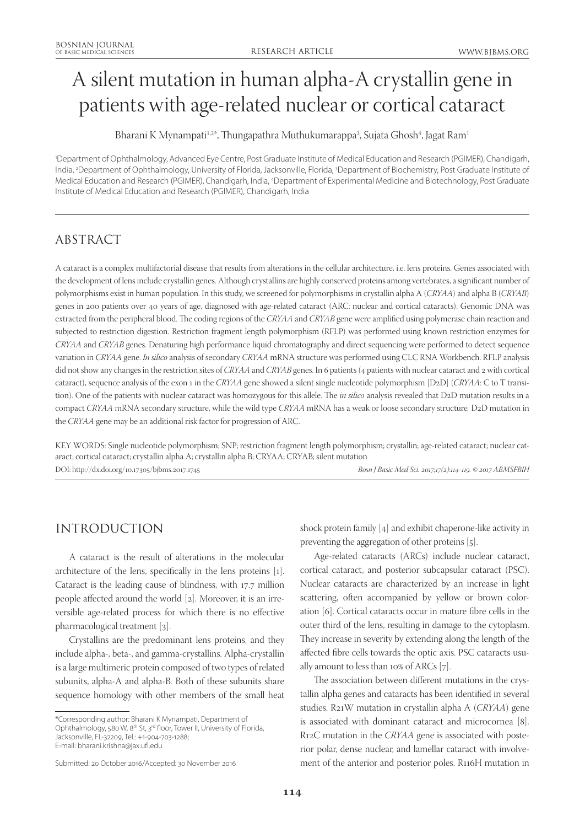# A silent mutation in human alpha-A crystallin gene in patients with age-related nuclear or cortical cataract

Bharani K Mynampati<sup>1,2\*</sup>, Thungapathra Muthukumarappa<sup>3</sup>, Sujata Ghosh<sup>4</sup>, Jagat Ram<sup>1</sup>

1 Department of Ophthalmology, Advanced Eye Centre, Post Graduate Institute of Medical Education and Research (PGIMER), Chandigarh, India, <sup>2</sup>Department of Ophthalmology, University of Florida, Jacksonville, Florida, <sup>3</sup>Department of Biochemistry, Post Graduate Institute of Medical Education and Research (PGIMER), Chandigarh, India, 4 Department of Experimental Medicine and Biotechnology, Post Graduate Institute of Medical Education and Research (PGIMER), Chandigarh, India

# ABSTRACT

A cataract is a complex multifactorial disease that results from alterations in the cellular architecture, i.e. lens proteins. Genes associated with the development of lens include crystallin genes. Although crystallins are highly conserved proteins among vertebrates, a significant number of polymorphisms exist in human population. In this study, we screened for polymorphisms in crystallin alpha A (*CRYAA*) and alpha B (*CRYAB*) genes in 200 patients over 40 years of age, diagnosed with age-related cataract (ARC; nuclear and cortical cataracts). Genomic DNA was extracted from the peripheral blood. The coding regions of the *CRYAA* and *CRYAB* gene were amplified using polymerase chain reaction and subjected to restriction digestion. Restriction fragment length polymorphism (RFLP) was performed using known restriction enzymes for *CRYAA* and *CRYAB* genes. Denaturing high performance liquid chromatography and direct sequencing were performed to detect sequence variation in *CRYAA* gene. *In silico* analysis of secondary *CRYAA* mRNA structure was performed using CLC RNA Workbench. RFLP analysis did not show any changes in the restriction sites of *CRYAA* and *CRYAB* genes. In 6 patients (4 patients with nuclear cataract and 2 with cortical cataract), sequence analysis of the exon 1 in the *CRYAA* gene showed a silent single nucleotide polymorphism [D2D] (*CRYAA*: C to T transition). One of the patients with nuclear cataract was homozygous for this allele. The *in silico* analysis revealed that D2D mutation results in a compact *CRYAA* mRNA secondary structure, while the wild type *CRYAA* mRNA has a weak or loose secondary structure*.* D2D mutation in the *CRYAA* gene may be an additional risk factor for progression of ARC.

KEY WORDS: Single nucleotide polymorphism; SNP; restriction fragment length polymorphism; crystallin; age-related cataract; nuclear cataract; cortical cataract; crystallin alpha A; crystallin alpha B; CRYAA; CRYAB; silent mutation DOI: http://dx.doi.org/10.17305/bjbms.2017.1745 *Bosn J Basic Med Sci. 2017;17(2):114-119. © 2017 ABMSFBIH*

# INTRODUCTION

A cataract is the result of alterations in the molecular architecture of the lens, specifically in the lens proteins [1]. Cataract is the leading cause of blindness, with 17.7 million people affected around the world [2]. Moreover, it is an irreversible age-related process for which there is no effective pharmacological treatment [3].

Crystallins are the predominant lens proteins, and they include alpha-, beta-, and gamma-crystallins. Alpha-crystallin is a large multimeric protein composed of two types of related subunits, alpha-A and alpha-B. Both of these subunits share sequence homology with other members of the small heat

\*Corresponding author: Bharani K Mynampati, Department of Ophthalmology, 580 W, 8<sup>th</sup> St, 3<sup>rd</sup> floor, Tower II, University of Florida, Jacksonville, FL-32209, Tel.: +1-904-703-1288; E-mail: bharani.krishna@jax.ufl.edu

shock protein family [4] and exhibit chaperone-like activity in preventing the aggregation of other proteins [5].

Age-related cataracts (ARCs) include nuclear cataract, cortical cataract, and posterior subcapsular cataract (PSC). Nuclear cataracts are characterized by an increase in light scattering, often accompanied by yellow or brown coloration [6]. Cortical cataracts occur in mature fibre cells in the outer third of the lens, resulting in damage to the cytoplasm. They increase in severity by extending along the length of the affected fibre cells towards the optic axis. PSC cataracts usually amount to less than 10% of ARCs [7].

The association between different mutations in the crystallin alpha genes and cataracts has been identified in several studies. R21W mutation in crystallin alpha A (*CRYAA*) gene is associated with dominant cataract and microcornea [8]. R12C mutation in the *CRYAA* gene is associated with posterior polar, dense nuclear, and lamellar cataract with involvement of the anterior and posterior poles. R116H mutation in

Submitted: 20 October 2016/Accepted: 30 November 2016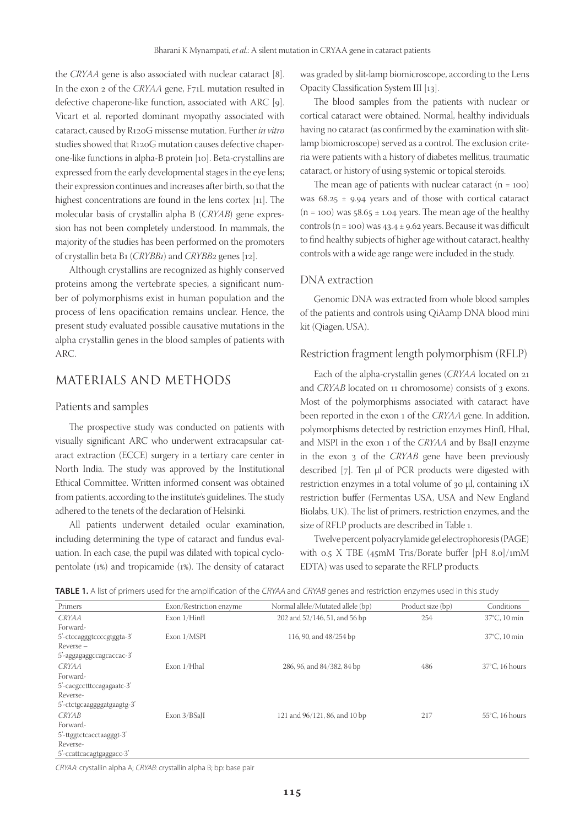the *CRYAA* gene is also associated with nuclear cataract [8]. In the exon 2 of the *CRYAA* gene, F71L mutation resulted in defective chaperone-like function, associated with ARC [9]. Vicart et al. reported dominant myopathy associated with cataract, caused by R120G missense mutation. Further *in vitro* studies showed that R120G mutation causes defective chaperone-like functions in alpha-B protein [10]. Beta-crystallins are expressed from the early developmental stages in the eye lens; their expression continues and increases after birth, so that the highest concentrations are found in the lens cortex [11]. The molecular basis of crystallin alpha B (*CRYAB*) gene expression has not been completely understood. In mammals, the majority of the studies has been performed on the promoters of crystallin beta B1 (*CRYBB1*) and *CRYBB2* genes [12].

Although crystallins are recognized as highly conserved proteins among the vertebrate species, a significant number of polymorphisms exist in human population and the process of lens opacification remains unclear. Hence, the present study evaluated possible causative mutations in the alpha crystallin genes in the blood samples of patients with ARC.

## MATERIALS AND METHODS

#### Patients and samples

The prospective study was conducted on patients with visually significant ARC who underwent extracapsular cataract extraction (ECCE) surgery in a tertiary care center in North India. The study was approved by the Institutional Ethical Committee. Written informed consent was obtained from patients, according to the institute's guidelines. The study adhered to the tenets of the declaration of Helsinki.

All patients underwent detailed ocular examination, including determining the type of cataract and fundus evaluation. In each case, the pupil was dilated with topical cyclopentolate (1%) and tropicamide (1%). The density of cataract was graded by slit-lamp biomicroscope, according to the Lens Opacity Classification System III [13].

The blood samples from the patients with nuclear or cortical cataract were obtained. Normal, healthy individuals having no cataract (as confirmed by the examination with slitlamp biomicroscope) served as a control. The exclusion criteria were patients with a history of diabetes mellitus, traumatic cataract, or history of using systemic or topical steroids.

The mean age of patients with nuclear cataract  $(n = 100)$ was  $68.25 \pm 9.94$  years and of those with cortical cataract  $(n = 100)$  was 58.65  $\pm$  1.04 years. The mean age of the healthy controls (n = 100) was  $43.4 \pm 9.62$  years. Because it was difficult to find healthy subjects of higher age without cataract, healthy controls with a wide age range were included in the study.

#### DNA extraction

Genomic DNA was extracted from whole blood samples of the patients and controls using QiAamp DNA blood mini kit (Qiagen, USA).

#### Restriction fragment length polymorphism (RFLP)

Each of the alpha-crystallin genes (*CRYAA* located on 21 and *CRYAB* located on 11 chromosome) consists of 3 exons. Most of the polymorphisms associated with cataract have been reported in the exon 1 of the *CRYAA* gene. In addition, polymorphisms detected by restriction enzymes HinfI, HhaI, and MSPI in the exon 1 of the *CRYAA* and by BsaJI enzyme in the exon 3 of the *CRYAB* gene have been previously described [7]. Ten µl of PCR products were digested with restriction enzymes in a total volume of 30  $\mu$ l, containing 1X restriction buffer (Fermentas USA, USA and New England Biolabs, UK). The list of primers, restriction enzymes, and the size of RFLP products are described in Table 1.

Twelve percent polyacrylamide gel electrophoresis (PAGE) with 0.5 X TBE (45mM Tris/Borate buffer [pH 8.0]/1mM EDTA) was used to separate the RFLP products.

|  |  | <b>TABLE 1.</b> A list of primers used for the amplification of the CRYAA and CRYAB genes and restriction enzymes used in this study |  |  |  |  |
|--|--|--------------------------------------------------------------------------------------------------------------------------------------|--|--|--|--|
|--|--|--------------------------------------------------------------------------------------------------------------------------------------|--|--|--|--|

| Primers                    | Exon/Restriction enzyme | Normal allele/Mutated allele (bp) | Product size (bp) | Conditions               |
|----------------------------|-------------------------|-----------------------------------|-------------------|--------------------------|
| <i>CRYAA</i>               | Exon $1/H$ infl         | 202 and 52/146, 51, and 56 bp     | 254               | 37°C, 10 min             |
| Forward-                   |                         |                                   |                   |                          |
| 5'-ctccagggtccccgtggta-3'  | Exon 1/MSPI             | 116, 90, and 48/254 bp            |                   | 37°C, 10 min             |
| $Reverse -$                |                         |                                   |                   |                          |
| 5'-aggagaggccagcaccac-3'   |                         |                                   |                   |                          |
| <b>CRYAA</b>               | Exon 1/HhaI             | 286, 96, and 84/382, 84 bp        | 486               | $37^{\circ}$ C. 16 hours |
| Forward-                   |                         |                                   |                   |                          |
| 5'-cacgcctttccagagaatc-3'  |                         |                                   |                   |                          |
| Reverse-                   |                         |                                   |                   |                          |
| 5'-ctctgcaaggggatgaagtg-3' |                         |                                   |                   |                          |
| <b>CRYAB</b>               | Exon 3/BSaJI            | 121 and 96/121, 86, and 10 bp     | 217               | $55^{\circ}$ C, 16 hours |
| Forward-                   |                         |                                   |                   |                          |
| 5'-ttggtctcacctaagggt-3'   |                         |                                   |                   |                          |
| Reverse-                   |                         |                                   |                   |                          |
| 5'-ccattcacagtgaggacc-3'   |                         |                                   |                   |                          |

CRYAA: crystallin alpha A; CRYAB: crystallin alpha B; bp: base pair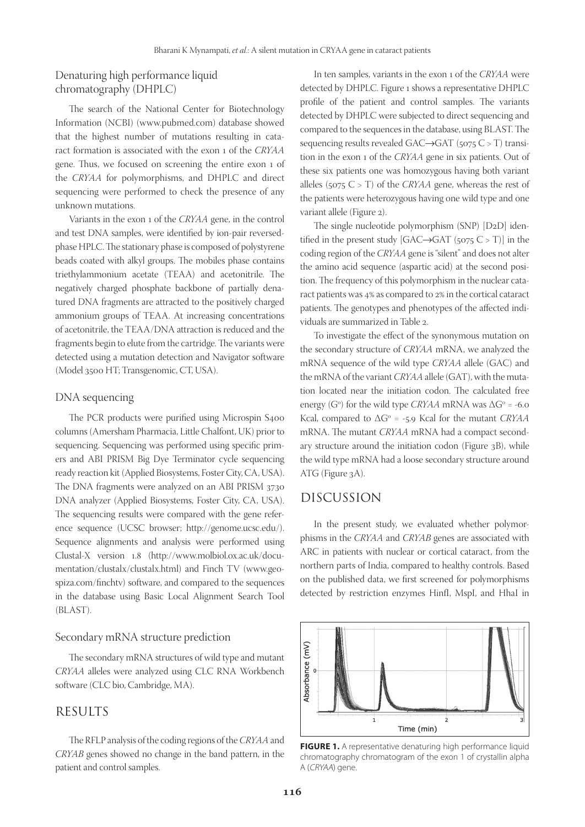### Denaturing high performance liquid chromatography (DHPLC)

The search of the National Center for Biotechnology Information (NCBI) (www.pubmed.com) database showed that the highest number of mutations resulting in cataract formation is associated with the exon 1 of the *CRYAA* gene. Thus, we focused on screening the entire exon 1 of the *CRYAA* for polymorphisms, and DHPLC and direct sequencing were performed to check the presence of any unknown mutations.

Variants in the exon 1 of the *CRYAA* gene, in the control and test DNA samples, were identified by ion-pair reversedphase HPLC. The stationary phase is composed of polystyrene beads coated with alkyl groups. The mobiles phase contains triethylammonium acetate (TEAA) and acetonitrile. The negatively charged phosphate backbone of partially denatured DNA fragments are attracted to the positively charged ammonium groups of TEAA. At increasing concentrations of acetonitrile, the TEAA/DNA attraction is reduced and the fragments begin to elute from the cartridge. The variants were detected using a mutation detection and Navigator software (Model 3500 HT; Transgenomic, CT, USA).

#### DNA sequencing

The PCR products were purified using Microspin S400 columns (Amersham Pharmacia, Little Chalfont, UK) prior to sequencing. Sequencing was performed using specific primers and ABI PRISM Big Dye Terminator cycle sequencing ready reaction kit (Applied Biosystems, Foster City, CA, USA). The DNA fragments were analyzed on an ABI PRISM 3730 DNA analyzer (Applied Biosystems, Foster City, CA, USA). The sequencing results were compared with the gene reference sequence (UCSC browser; http://genome.ucsc.edu/). Sequence alignments and analysis were performed using Clustal-X version 1.8 (http://www.molbiol.ox.ac.uk/documentation/clustalx/clustalx.html) and Finch TV (www.geospiza.com/finchtv) software, and compared to the sequences in the database using Basic Local Alignment Search Tool (BLAST).

#### Secondary mRNA structure prediction

The secondary mRNA structures of wild type and mutant *CRYAA* alleles were analyzed using CLC RNA Workbench software (CLC bio, Cambridge, MA).

## RESULTS

The RFLP analysis of the coding regions of the *CRYAA* and *CRYAB* genes showed no change in the band pattern, in the patient and control samples.

In ten samples, variants in the exon 1 of the *CRYAA* were detected by DHPLC. Figure 1 shows a representative DHPLC profile of the patient and control samples. The variants detected by DHPLC were subjected to direct sequencing and compared to the sequences in the database, using BLAST. The sequencing results revealed  $GAC \rightarrow GAT$  (5075 C > T) transition in the exon 1 of the *CRYAA* gene in six patients. Out of these six patients one was homozygous having both variant alleles ( $5075 \text{ C} > \text{T}$ ) of the *CRYAA* gene, whereas the rest of the patients were heterozygous having one wild type and one variant allele (Figure 2).

The single nucleotide polymorphism (SNP) [D2D] identified in the present study [GAC $\rightarrow$ GAT (5075 C > T)] in the coding region of the *CRYAA* gene is "silent" and does not alter the amino acid sequence (aspartic acid) at the second position. The frequency of this polymorphism in the nuclear cataract patients was 4% as compared to 2% in the cortical cataract patients. The genotypes and phenotypes of the affected individuals are summarized in Table 2.

To investigate the effect of the synonymous mutation on the secondary structure of *CRYAA* mRNA, we analyzed the mRNA sequence of the wild type *CRYAA* allele (GAC) and the mRNA of the variant *CRYAA* allele (GAT), with the mutation located near the initiation codon. The calculated free energy (G<sup>o</sup>) for the wild type *CRYAA* mRNA was  $\Delta G^{\circ}$  = -6.0 Kcal, compared to  $\Delta G^{\circ}$  = -5.9 Kcal for the mutant *CRYAA* mRNA. The mutant *CRYAA* mRNA had a compact secondary structure around the initiation codon (Figure 3B), while the wild type mRNA had a loose secondary structure around ATG (Figure 3A).

#### DISCUSSION

In the present study, we evaluated whether polymorphisms in the *CRYAA* and *CRYAB* genes are associated with ARC in patients with nuclear or cortical cataract, from the northern parts of India, compared to healthy controls. Based on the published data, we first screened for polymorphisms detected by restriction enzymes HinfI, MspI, and HhaI in



**FIGURE 1.** A representative denaturing high performance liquid chromatography chromatogram of the exon 1 of crystallin alpha A (CRYAA) gene.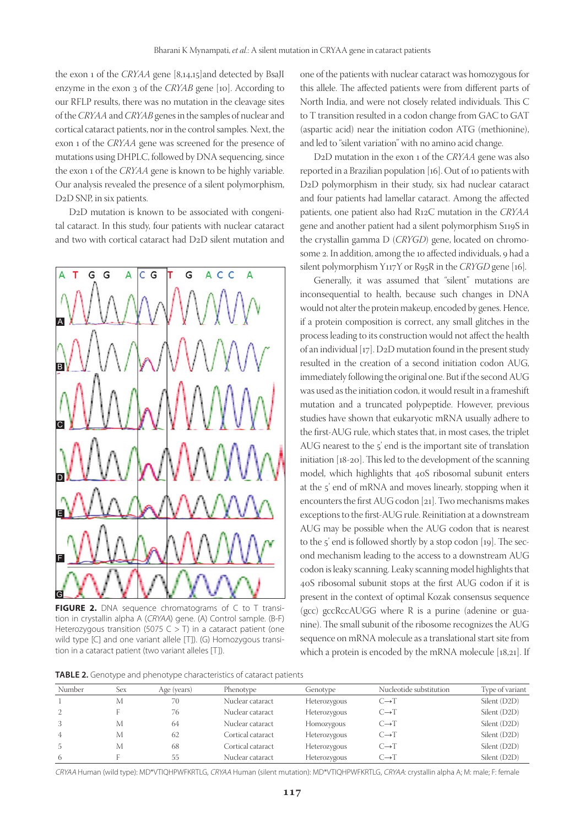the exon 1 of the *CRYAA* gene [8,14,15]and detected by BsaJI enzyme in the exon 3 of the *CRYAB* gene [10]. According to our RFLP results, there was no mutation in the cleavage sites of the *CRYAA* and *CRYAB* genes in the samples of nuclear and cortical cataract patients, nor in the control samples. Next, the exon 1 of the *CRYAA* gene was screened for the presence of mutations using DHPLC, followed by DNA sequencing, since the exon 1 of the *CRYAA* gene is known to be highly variable. Our analysis revealed the presence of a silent polymorphism, D<sub>2</sub>D SNP, in six patients.

D2D mutation is known to be associated with congenital cataract. In this study, four patients with nuclear cataract and two with cortical cataract had D2D silent mutation and



**FIGURE 2.** DNA sequence chromatograms of C to T transition in crystallin alpha A (CRYAA) gene. (A) Control sample. (B-F) Heterozygous transition (5075 C  $>$  T) in a cataract patient (one wild type [C] and one variant allele [T]). (G) Homozygous transition in a cataract patient (two variant alleles [T]).

one of the patients with nuclear cataract was homozygous for this allele. The affected patients were from different parts of North India, and were not closely related individuals. This C to T transition resulted in a codon change from GAC to GAT (aspartic acid) near the initiation codon ATG (methionine), and led to "silent variation" with no amino acid change.

D2D mutation in the exon 1 of the *CRYAA* gene was also reported in a Brazilian population [16]. Out of 10 patients with D2D polymorphism in their study, six had nuclear cataract and four patients had lamellar cataract. Among the affected patients, one patient also had R12C mutation in the *CRYAA* gene and another patient had a silent polymorphism S119S in the crystallin gamma D (*CRYGD*) gene, located on chromosome 2. In addition, among the 10 affected individuals, 9 had a silent polymorphism Y117Y or R95R in the *CRYGD* gene [16]*.*

Generally, it was assumed that "silent" mutations are inconsequential to health, because such changes in DNA would not alter the protein makeup, encoded by genes. Hence, if a protein composition is correct, any small glitches in the process leading to its construction would not affect the health of an individual [17]. D2D mutation found in the present study resulted in the creation of a second initiation codon AUG, immediately following the original one. But if the second AUG was used as the initiation codon, it would result in a frameshift mutation and a truncated polypeptide. However, previous studies have shown that eukaryotic mRNA usually adhere to the first-AUG rule, which states that, in most cases, the triplet AUG nearest to the 5' end is the important site of translation initiation [18-20]. This led to the development of the scanning model, which highlights that 40S ribosomal subunit enters at the 5' end of mRNA and moves linearly, stopping when it encounters the first AUG codon [21]. Two mechanisms makes exceptions to the first-AUG rule. Reinitiation at a downstream AUG may be possible when the AUG codon that is nearest to the 5' end is followed shortly by a stop codon [19]. The second mechanism leading to the access to a downstream AUG codon is leaky scanning. Leaky scanning model highlights that 40S ribosomal subunit stops at the first AUG codon if it is present in the context of optimal Kozak consensus sequence (gcc) gccRccAUGG where R is a purine (adenine or guanine). The small subunit of the ribosome recognizes the AUG sequence on mRNA molecule as a translational start site from which a protein is encoded by the mRNA molecule [18,21]. If

**TABLE 2.** Genotype and phenotype characteristics of cataract patients

| Number | Sex | Age (years) | Phenotype         | Genotype     | Nucleotide substitution | Type of variant |
|--------|-----|-------------|-------------------|--------------|-------------------------|-----------------|
|        | M   | 70          | Nuclear cataract  | Heterozygous | $C\rightarrow T$        | Silent (D2D)    |
| 2      |     | 76          | Nuclear cataract  | Heterozygous | $C\rightarrow T$        | Silent (D2D)    |
| 3      | M   | 64          | Nuclear cataract  | Homozygous   | $C\rightarrow T$        | Silent (D2D)    |
| 4      | M   | 62          | Cortical cataract | Heterozygous | $C\rightarrow T$        | Silent (D2D)    |
|        | M   | 68          | Cortical cataract | Heterozygous | $C\rightarrow T$        | Silent (D2D)    |
| 6      |     | 55          | Nuclear cataract  | Heterozygous | $C\rightarrow T$        | Silent (D2D)    |

CRYAA Human (wild type): MD\*VTIQHPWFKRTLG, CRYAA Human (silent mutation): MD\*VTIQHPWFKRTLG, CRYAA: crystallin alpha A; M: male; F: female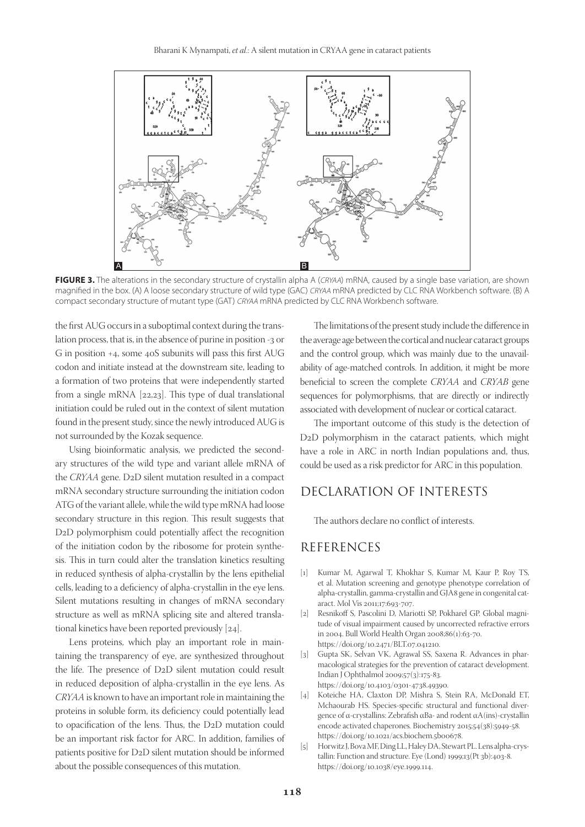

**FIGURE 3.** The alterations in the secondary structure of crystallin alpha A (CRYAA) mRNA, caused by a single base variation, are shown magnified in the box. (A) A loose secondary structure of wild type (GAC) CRYAA mRNA predicted by CLC RNA Workbench software. (B) A compact secondary structure of mutant type (GAT) CRYAA mRNA predicted by CLC RNA Workbench software.

the first AUG occurs in a suboptimal context during the translation process, that is, in the absence of purine in position -3 or G in position +4, some 40S subunits will pass this first AUG codon and initiate instead at the downstream site, leading to a formation of two proteins that were independently started from a single mRNA [22,23]. This type of dual translational initiation could be ruled out in the context of silent mutation found in the present study, since the newly introduced AUG is not surrounded by the Kozak sequence.

Using bioinformatic analysis, we predicted the secondary structures of the wild type and variant allele mRNA of the *CRYAA* gene. D2D silent mutation resulted in a compact mRNA secondary structure surrounding the initiation codon ATG of the variant allele, while the wild type mRNA had loose secondary structure in this region. This result suggests that D2D polymorphism could potentially affect the recognition of the initiation codon by the ribosome for protein synthesis. This in turn could alter the translation kinetics resulting in reduced synthesis of alpha-crystallin by the lens epithelial cells, leading to a deficiency of alpha-crystallin in the eye lens. Silent mutations resulting in changes of mRNA secondary structure as well as mRNA splicing site and altered translational kinetics have been reported previously [24].

Lens proteins, which play an important role in maintaining the transparency of eye, are synthesized throughout the life. The presence of D2D silent mutation could result in reduced deposition of alpha-crystallin in the eye lens. As *CRYAA* is known to have an important role in maintaining the proteins in soluble form, its deficiency could potentially lead to opacification of the lens. Thus, the D2D mutation could be an important risk factor for ARC. In addition, families of patients positive for D2D silent mutation should be informed about the possible consequences of this mutation.

The limitations of the present study include the difference in the average age between the cortical and nuclear cataract groups and the control group, which was mainly due to the unavailability of age-matched controls. In addition, it might be more beneficial to screen the complete *CRYAA* and *CRYAB* gene sequences for polymorphisms, that are directly or indirectly associated with development of nuclear or cortical cataract.

The important outcome of this study is the detection of D2D polymorphism in the cataract patients, which might have a role in ARC in north Indian populations and, thus, could be used as a risk predictor for ARC in this population.

# DECLARATION OF INTERESTS

The authors declare no conflict of interests.

# REFERENCES

- [1] Kumar M, Agarwal T, Khokhar S, Kumar M, Kaur P, Roy TS, et al. Mutation screening and genotype phenotype correlation of alpha-crystallin, gamma-crystallin and GJA8 gene in congenital cataract. Mol Vis 2011;17:693-707.
- [2] Resnikoff S, Pascolini D, Mariotti SP, Pokharel GP. Global magnitude of visual impairment caused by uncorrected refractive errors in 2004. Bull World Health Organ 2008;86(1):63-70. https://doi.org/10.2471/BLT.07.041210.
- [3] Gupta SK, Selvan VK, Agrawal SS, Saxena R. Advances in pharmacological strategies for the prevention of cataract development. Indian J Ophthalmol 2009;57(3):175-83. https://doi.org/10.4103/0301-4738.49390.
- [4] Koteiche HA, Claxton DP, Mishra S, Stein RA, McDonald ET, Mchaourab HS. Species-specific structural and functional divergence of α-crystallins: Zebrafish αBa- and rodent αA(ins)-crystallin encode activated chaperones. Biochemistry 2015;54(38):5949-58. https://doi.org/10.1021/acs.biochem.5b00678.
- [5] Horwitz J, Bova MF, Ding LL, Haley DA, Stewart PL. Lens alpha-crystallin: Function and structure. Eye (Lond) 1999;13(Pt 3b):403-8. https://doi.org/10.1038/eye.1999.114.